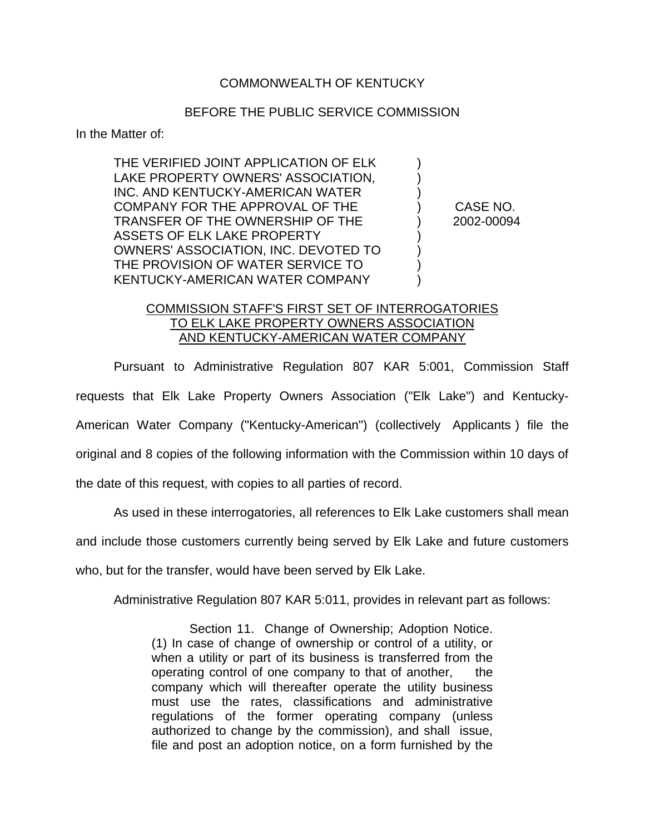## COMMONWEALTH OF KENTUCKY

## BEFORE THE PUBLIC SERVICE COMMISSION

In the Matter of:

THE VERIFIED JOINT APPLICATION OF ELK ) LAKE PROPERTY OWNERS' ASSOCIATION. INC. AND KENTUCKY-AMERICAN WATER ) COMPANY FOR THE APPROVAL OF THE ) CASE NO. TRANSFER OF THE OWNERSHIP OF THE ) 2002-00094 ASSETS OF ELK LAKE PROPERTY OWNERS' ASSOCIATION, INC. DEVOTED TO ) THE PROVISION OF WATER SERVICE TO ) KENTUCKY-AMERICAN WATER COMPANY  $\qquad \qquad$ )

## COMMISSION STAFF'S FIRST SET OF INTERROGATORIES TO ELK LAKE PROPERTY OWNERS ASSOCIATION AND KENTUCKY-AMERICAN WATER COMPANY

Pursuant to Administrative Regulation 807 KAR 5:001, Commission Staff requests that Elk Lake Property Owners Association ("Elk Lake") and Kentucky-American Water Company ("Kentucky-American") (collectively Applicants ) file the original and 8 copies of the following information with the Commission within 10 days of the date of this request, with copies to all parties of record.

As used in these interrogatories, all references to Elk Lake customers shall mean

and include those customers currently being served by Elk Lake and future customers

who, but for the transfer, would have been served by Elk Lake.

Administrative Regulation 807 KAR 5:011, provides in relevant part as follows:

Section 11. Change of Ownership; Adoption Notice. (1) In case of change of ownership or control of a utility, or when a utility or part of its business is transferred from the operating control of one company to that of another, the company which will thereafter operate the utility business must use the rates, classifications and administrative regulations of the former operating company (unless authorized to change by the commission), and shall issue, file and post an adoption notice, on a form furnished by the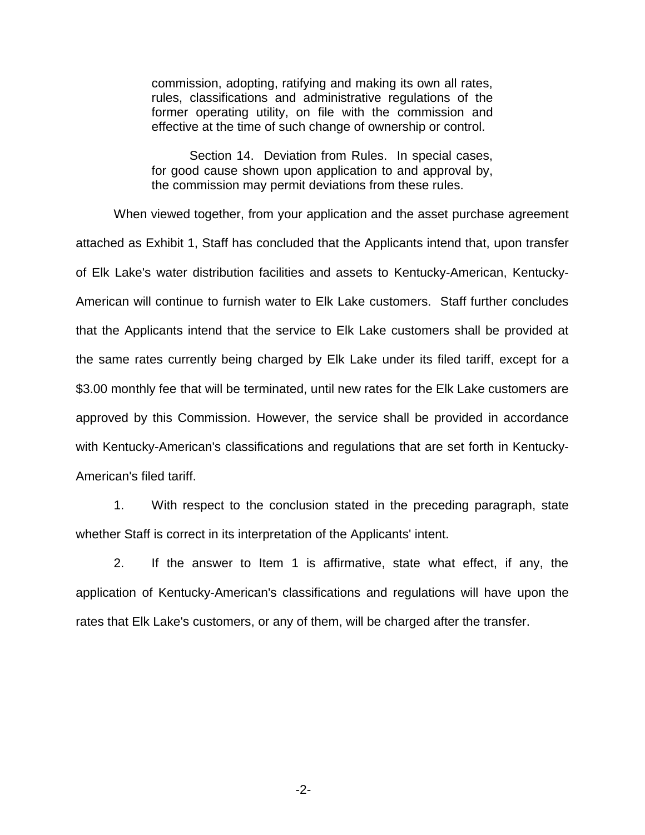commission, adopting, ratifying and making its own all rates, rules, classifications and administrative regulations of the former operating utility, on file with the commission and effective at the time of such change of ownership or control.

Section 14. Deviation from Rules. In special cases, for good cause shown upon application to and approval by, the commission may permit deviations from these rules.

When viewed together, from your application and the asset purchase agreement attached as Exhibit 1, Staff has concluded that the Applicants intend that, upon transfer of Elk Lake's water distribution facilities and assets to Kentucky-American, Kentucky-American will continue to furnish water to Elk Lake customers. Staff further concludes that the Applicants intend that the service to Elk Lake customers shall be provided at the same rates currently being charged by Elk Lake under its filed tariff, except for a \$3.00 monthly fee that will be terminated, until new rates for the Elk Lake customers are approved by this Commission. However, the service shall be provided in accordance with Kentucky-American's classifications and regulations that are set forth in Kentucky-American's filed tariff.

1. With respect to the conclusion stated in the preceding paragraph, state whether Staff is correct in its interpretation of the Applicants' intent.

2. If the answer to Item 1 is affirmative, state what effect, if any, the application of Kentucky-American's classifications and regulations will have upon the rates that Elk Lake's customers, or any of them, will be charged after the transfer.

-2-